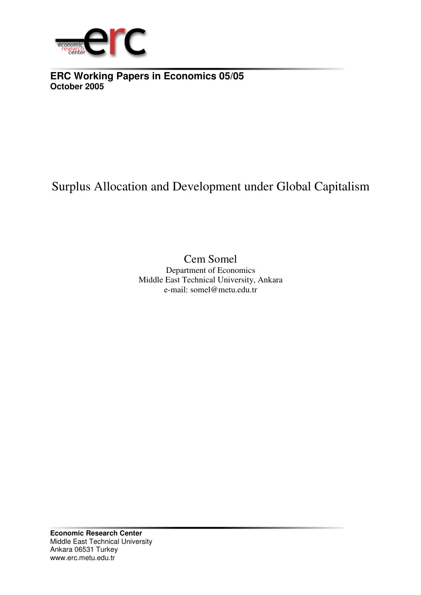

**ERC Working Papers in Economics 05/05 October 2005**

# Surplus Allocation and Development under Global Capitalism

Cem Somel Department of Economics Middle East Technical University, Ankara e-mail: somel@metu.edu.tr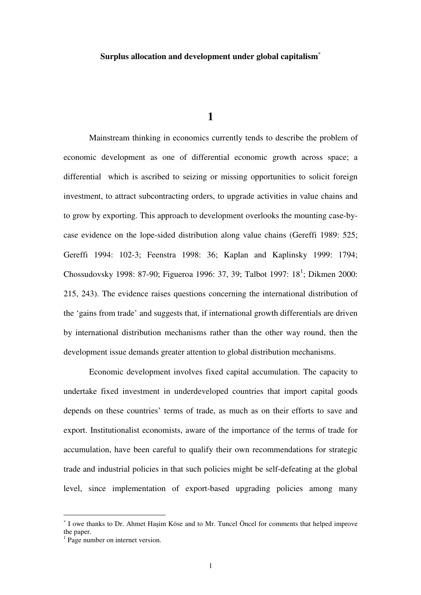# **Surplus allocation and development under global capitalism** ∗

#### **1**

Mainstream thinking in economics currently tends to describe the problem of economic development as one of differential economic growth across space; a differential which is ascribed to seizing or missing opportunities to solicit foreign investment, to attract subcontracting orders, to upgrade activities in value chains and to grow by exporting. This approach to development overlooks the mounting case-bycase evidence on the lope-sided distribution along value chains (Gereffi 1989: 525; Gereffi 1994: 102-3; Feenstra 1998: 36; Kaplan and Kaplinsky 1999: 1794; Chossudovsky 1998: 87-90; Figueroa 1996: 37, 39; Talbot 1997: 18<sup>1</sup>; Dikmen 2000: 215, 243). The evidence raises questions concerning the international distribution of the 'gains from trade' and suggests that, if international growth differentials are driven by international distribution mechanisms rather than the other way round, then the development issue demands greater attention to global distribution mechanisms.

Economic development involves fixed capital accumulation. The capacity to undertake fixed investment in underdeveloped countries that import capital goods depends on these countries' terms of trade, as much as on their efforts to save and export. Institutionalist economists, aware of the importance of the terms of trade for accumulation, have been careful to qualify their own recommendations for strategic trade and industrial policies in that such policies might be self-defeating at the global level, since implementation of export-based upgrading policies among many

<sup>\*</sup> I owe thanks to Dr. Ahmet Haşim Köse and to Mr. Tuncel Öncel for comments that helped improve the paper.

<sup>&</sup>lt;sup>1</sup> Page number on internet version.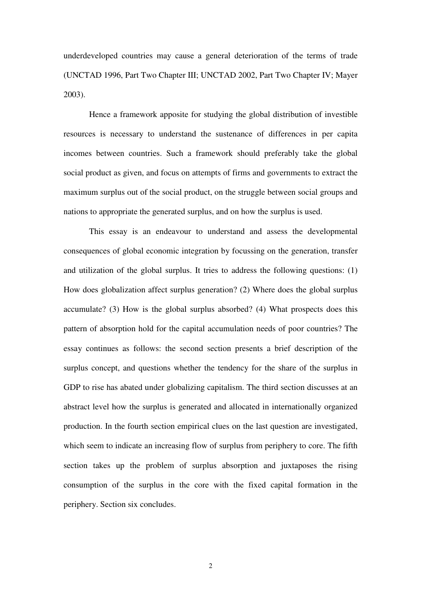underdeveloped countries may cause a general deterioration of the terms of trade (UNCTAD 1996, Part Two Chapter III; UNCTAD 2002, Part Two Chapter IV; Mayer 2003).

Hence a framework apposite for studying the global distribution of investible resources is necessary to understand the sustenance of differences in per capita incomes between countries. Such a framework should preferably take the global social product as given, and focus on attempts of firms and governments to extract the maximum surplus out of the social product, on the struggle between social groups and nations to appropriate the generated surplus, and on how the surplus is used.

This essay is an endeavour to understand and assess the developmental consequences of global economic integration by focussing on the generation, transfer and utilization of the global surplus. It tries to address the following questions: (1) How does globalization affect surplus generation? (2) Where does the global surplus accumulate? (3) How is the global surplus absorbed? (4) What prospects does this pattern of absorption hold for the capital accumulation needs of poor countries? The essay continues as follows: the second section presents a brief description of the surplus concept, and questions whether the tendency for the share of the surplus in GDP to rise has abated under globalizing capitalism. The third section discusses at an abstract level how the surplus is generated and allocated in internationally organized production. In the fourth section empirical clues on the last question are investigated, which seem to indicate an increasing flow of surplus from periphery to core. The fifth section takes up the problem of surplus absorption and juxtaposes the rising consumption of the surplus in the core with the fixed capital formation in the periphery. Section six concludes.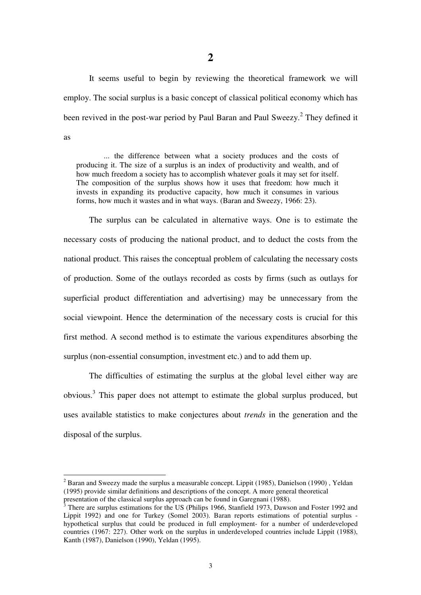**2**

It seems useful to begin by reviewing the theoretical framework we will employ. The social surplus is a basic concept of classical political economy which has been revived in the post-war period by Paul Baran and Paul Sweezy.<sup>2</sup> They defined it as

... the difference between what a society produces and the costs of producing it. The size of a surplus is an index of productivity and wealth, and of how much freedom a society has to accomplish whatever goals it may set for itself. The composition of the surplus shows how it uses that freedom: how much it invests in expanding its productive capacity, how much it consumes in various forms, how much it wastes and in what ways. (Baran and Sweezy, 1966: 23).

The surplus can be calculated in alternative ways. One is to estimate the necessary costs of producing the national product, and to deduct the costs from the national product. This raises the conceptual problem of calculating the necessary costs of production. Some of the outlays recorded as costs by firms (such as outlays for superficial product differentiation and advertising) may be unnecessary from the social viewpoint. Hence the determination of the necessary costs is crucial for this first method. A second method is to estimate the various expenditures absorbing the surplus (non-essential consumption, investment etc.) and to add them up.

The difficulties of estimating the surplus at the global level either way are obvious.<sup>3</sup> This paper does not attempt to estimate the global surplus produced, but uses available statistics to make conjectures about *trends* in the generation and the disposal of the surplus.

 $2^2$  Baran and Sweezy made the surplus a measurable concept. Lippit (1985), Danielson (1990), Yeldan (1995) provide similar definitions and descriptions of the concept. A more general theoretical presentation of the classical surplus approach can be found in Garegnani (1988).

 $3$  There are surplus estimations for the US (Philips 1966, Stanfield 1973, Dawson and Foster 1992 and Lippit 1992) and one for Turkey (Somel 2003). Baran reports estimations of potential surplus hypothetical surplus that could be produced in full employment- for a number of underdeveloped countries (1967: 227). Other work on the surplus in underdeveloped countries include Lippit (1988), Kanth (1987), Danielson (1990), Yeldan (1995).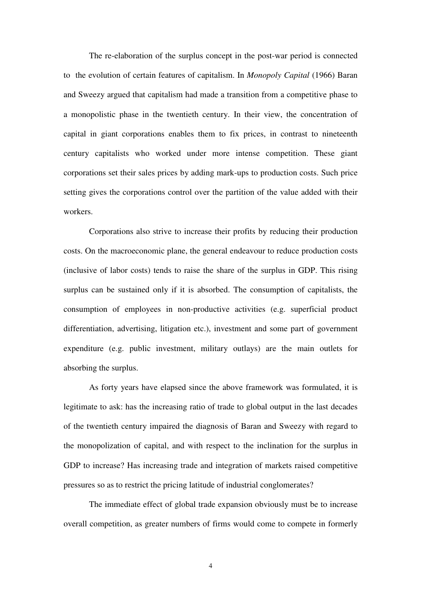The re-elaboration of the surplus concept in the post-war period is connected to the evolution of certain features of capitalism. In *Monopoly Capital* (1966) Baran and Sweezy argued that capitalism had made a transition from a competitive phase to a monopolistic phase in the twentieth century. In their view, the concentration of capital in giant corporations enables them to fix prices, in contrast to nineteenth century capitalists who worked under more intense competition. These giant corporations set their sales prices by adding mark-ups to production costs. Such price setting gives the corporations control over the partition of the value added with their workers.

Corporations also strive to increase their profits by reducing their production costs. On the macroeconomic plane, the general endeavour to reduce production costs (inclusive of labor costs) tends to raise the share of the surplus in GDP. This rising surplus can be sustained only if it is absorbed. The consumption of capitalists, the consumption of employees in non-productive activities (e.g. superficial product differentiation, advertising, litigation etc.), investment and some part of government expenditure (e.g. public investment, military outlays) are the main outlets for absorbing the surplus.

As forty years have elapsed since the above framework was formulated, it is legitimate to ask: has the increasing ratio of trade to global output in the last decades of the twentieth century impaired the diagnosis of Baran and Sweezy with regard to the monopolization of capital, and with respect to the inclination for the surplus in GDP to increase? Has increasing trade and integration of markets raised competitive pressures so as to restrict the pricing latitude of industrial conglomerates?

The immediate effect of global trade expansion obviously must be to increase overall competition, as greater numbers of firms would come to compete in formerly

4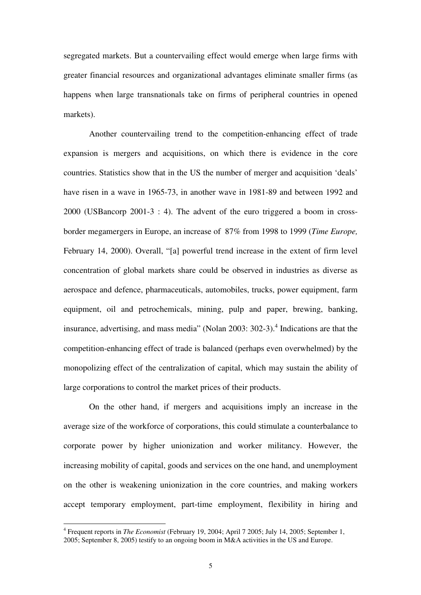segregated markets. But a countervailing effect would emerge when large firms with greater financial resources and organizational advantages eliminate smaller firms (as happens when large transnationals take on firms of peripheral countries in opened markets).

Another countervailing trend to the competition-enhancing effect of trade expansion is mergers and acquisitions, on which there is evidence in the core countries. Statistics show that in the US the number of merger and acquisition 'deals' have risen in a wave in 1965-73, in another wave in 1981-89 and between 1992 and 2000 (USBancorp 2001-3 : 4). The advent of the euro triggered a boom in crossborder megamergers in Europe, an increase of 87% from 1998 to 1999 (*Time Europe,* February 14, 2000). Overall, "[a] powerful trend increase in the extent of firm level concentration of global markets share could be observed in industries as diverse as aerospace and defence, pharmaceuticals, automobiles, trucks, power equipment, farm equipment, oil and petrochemicals, mining, pulp and paper, brewing, banking, insurance, advertising, and mass media" (Nolan 2003: 302-3). 4 Indications are that the competition-enhancing effect of trade is balanced (perhaps even overwhelmed) by the monopolizing effect of the centralization of capital, which may sustain the ability of large corporations to control the market prices of their products.

On the other hand, if mergers and acquisitions imply an increase in the average size of the workforce of corporations, this could stimulate a counterbalance to corporate power by higher unionization and worker militancy. However, the increasing mobility of capital, goods and services on the one hand, and unemployment on the other is weakening unionization in the core countries, and making workers accept temporary employment, part-time employment, flexibility in hiring and

<sup>4</sup> Frequent reports in *The Economist* (February 19, 2004; April 7 2005; July 14, 2005; September 1, 2005; September 8, 2005) testify to an ongoing boom in M&A activities in the US and Europe.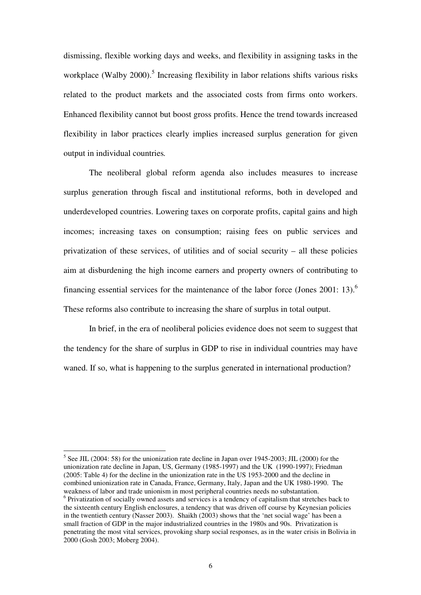dismissing, flexible working days and weeks, and flexibility in assigning tasks in the workplace (Walby 2000).<sup>5</sup> Increasing flexibility in labor relations shifts various risks related to the product markets and the associated costs from firms onto workers. Enhanced flexibility cannot but boost gross profits. Hence the trend towards increased flexibility in labor practices clearly implies increased surplus generation for given output in individual countries*.*

The neoliberal global reform agenda also includes measures to increase surplus generation through fiscal and institutional reforms, both in developed and underdeveloped countries. Lowering taxes on corporate profits, capital gains and high incomes; increasing taxes on consumption; raising fees on public services and privatization of these services, of utilities and of social security – all these policies aim at disburdening the high income earners and property owners of contributing to financing essential services for the maintenance of the labor force (Jones  $2001: 13$ ).<sup>6</sup> These reforms also contribute to increasing the share of surplus in total output.

In brief, in the era of neoliberal policies evidence does not seem to suggest that the tendency for the share of surplus in GDP to rise in individual countries may have waned. If so, what is happening to the surplus generated in international production?

<sup>&</sup>lt;sup>5</sup> See JIL (2004: 58) for the unionization rate decline in Japan over 1945-2003; JIL (2000) for the unionization rate decline in Japan, US, Germany (1985-1997) and the UK (1990-1997); Friedman (2005: Table 4) for the decline in the unionization rate in the US 1953-2000 and the decline in combined unionization rate in Canada, France, Germany, Italy, Japan and the UK 1980-1990. The weakness of labor and trade unionism in most peripheral countries needs no substantation.

<sup>&</sup>lt;sup>6</sup> Privatization of socially owned assets and services is a tendency of capitalism that stretches back to the sixteenth century English enclosures, a tendency that was driven off course by Keynesian policies in the twentieth century (Nasser 2003). Shaikh (2003) shows that the 'net social wage' has been a small fraction of GDP in the major industrialized countries in the 1980s and 90s. Privatization is penetrating the most vital services, provoking sharp social responses, as in the water crisis in Bolivia in 2000 (Gosh 2003; Moberg 2004).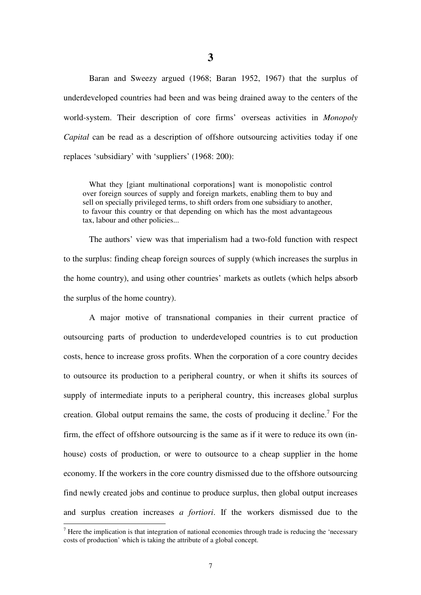**3**

Baran and Sweezy argued (1968; Baran 1952, 1967) that the surplus of underdeveloped countries had been and was being drained away to the centers of the world-system. Their description of core firms' overseas activities in *Monopoly Capital* can be read as a description of offshore outsourcing activities today if one replaces 'subsidiary' with 'suppliers' (1968: 200):

What they [giant multinational corporations] want is monopolistic control over foreign sources of supply and foreign markets, enabling them to buy and sell on specially privileged terms, to shift orders from one subsidiary to another, to favour this country or that depending on which has the most advantageous tax, labour and other policies...

The authors' view was that imperialism had a two-fold function with respect to the surplus: finding cheap foreign sources of supply (which increases the surplus in the home country), and using other countries' markets as outlets (which helps absorb the surplus of the home country).

A major motive of transnational companies in their current practice of outsourcing parts of production to underdeveloped countries is to cut production costs, hence to increase gross profits. When the corporation of a core country decides to outsource its production to a peripheral country, or when it shifts its sources of supply of intermediate inputs to a peripheral country, this increases global surplus creation. Global output remains the same, the costs of producing it decline.<sup>7</sup> For the firm, the effect of offshore outsourcing is the same as if it were to reduce its own (inhouse) costs of production, or were to outsource to a cheap supplier in the home economy. If the workers in the core country dismissed due to the offshore outsourcing find newly created jobs and continue to produce surplus, then global output increases and surplus creation increases *a fortiori*. If the workers dismissed due to the

<sup>&</sup>lt;sup>7</sup> Here the implication is that integration of national economies through trade is reducing the 'necessary' costs of production' which is taking the attribute of a global concept.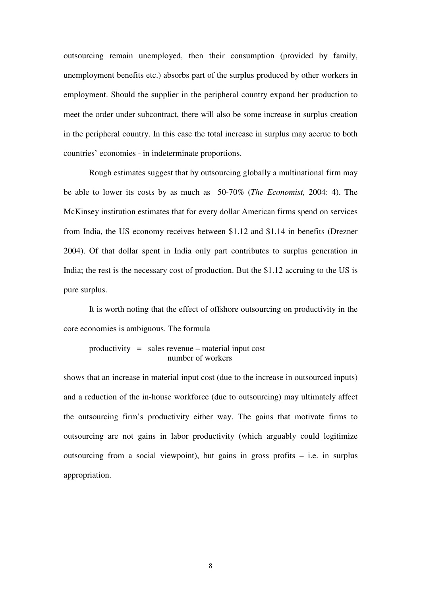outsourcing remain unemployed, then their consumption (provided by family, unemployment benefits etc.) absorbs part of the surplus produced by other workers in employment. Should the supplier in the peripheral country expand her production to meet the order under subcontract, there will also be some increase in surplus creation in the peripheral country. In this case the total increase in surplus may accrue to both countries' economies - in indeterminate proportions.

Rough estimates suggest that by outsourcing globally a multinational firm may be able to lower its costs by as much as 50-70% (*The Economist,* 2004: 4). The McKinsey institution estimates that for every dollar American firms spend on services from India, the US economy receives between \$1.12 and \$1.14 in benefits (Drezner 2004). Of that dollar spent in India only part contributes to surplus generation in India; the rest is the necessary cost of production. But the \$1.12 accruing to the US is pure surplus.

It is worth noting that the effect of offshore outsourcing on productivity in the core economies is ambiguous. The formula

$$
productivity = sales revenue - material input cost
$$
  
number of workers

shows that an increase in material input cost (due to the increase in outsourced inputs) and a reduction of the in-house workforce (due to outsourcing) may ultimately affect the outsourcing firm's productivity either way. The gains that motivate firms to outsourcing are not gains in labor productivity (which arguably could legitimize outsourcing from a social viewpoint), but gains in gross profits  $-$  i.e. in surplus appropriation.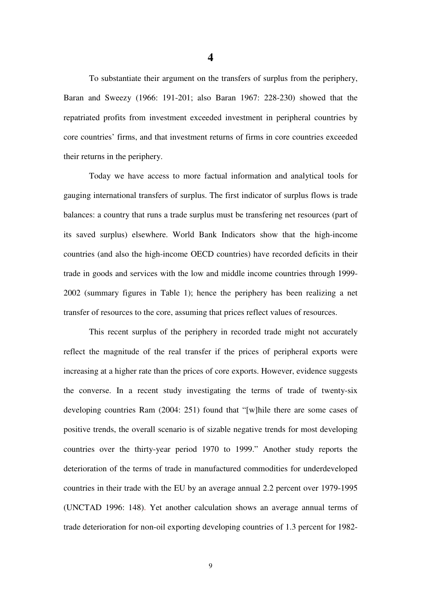To substantiate their argument on the transfers of surplus from the periphery, Baran and Sweezy (1966: 191-201; also Baran 1967: 228-230) showed that the repatriated profits from investment exceeded investment in peripheral countries by core countries' firms, and that investment returns of firms in core countries exceeded their returns in the periphery.

Today we have access to more factual information and analytical tools for gauging international transfers of surplus. The first indicator of surplus flows is trade balances: a country that runs a trade surplus must be transfering net resources (part of its saved surplus) elsewhere. World Bank Indicators show that the high-income countries (and also the high-income OECD countries) have recorded deficits in their trade in goods and services with the low and middle income countries through 1999- 2002 (summary figures in Table 1); hence the periphery has been realizing a net transfer of resources to the core, assuming that prices reflect values of resources.

This recent surplus of the periphery in recorded trade might not accurately reflect the magnitude of the real transfer if the prices of peripheral exports were increasing at a higher rate than the prices of core exports. However, evidence suggests the converse. In a recent study investigating the terms of trade of twenty-six developing countries Ram (2004: 251) found that "[w]hile there are some cases of positive trends, the overall scenario is of sizable negative trends for most developing countries over the thirty-year period 1970 to 1999." Another study reports the deterioration of the terms of trade in manufactured commodities for underdeveloped countries in their trade with the EU by an average annual 2.2 percent over 1979-1995 (UNCTAD 1996: 148). Yet another calculation shows an average annual terms of trade deterioration for non-oil exporting developing countries of 1.3 percent for 1982-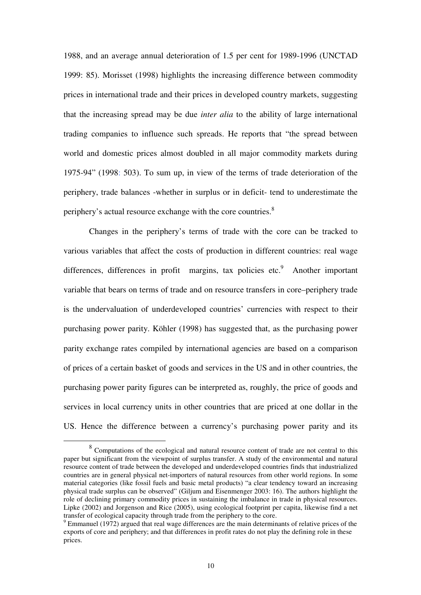1988, and an average annual deterioration of 1.5 per cent for 1989-1996 (UNCTAD 1999: 85). Morisset (1998) highlights the increasing difference between commodity prices in international trade and their prices in developed country markets, suggesting that the increasing spread may be due *inter alia* to the ability of large international trading companies to influence such spreads. He reports that "the spread between world and domestic prices almost doubled in all major commodity markets during 1975-94" (1998: 503). To sum up, in view of the terms of trade deterioration of the periphery, trade balances -whether in surplus or in deficit- tend to underestimate the periphery's actual resource exchange with the core countries.<sup>8</sup>

Changes in the periphery's terms of trade with the core can be tracked to various variables that affect the costs of production in different countries: real wage differences, differences in profit margins, tax policies etc.<sup>9</sup> Another important variable that bears on terms of trade and on resource transfers in core–periphery trade is the undervaluation of underdeveloped countries' currencies with respect to their purchasing power parity. Köhler (1998) has suggested that, as the purchasing power parity exchange rates compiled by international agencies are based on a comparison of prices of a certain basket of goods and services in the US and in other countries, the purchasing power parity figures can be interpreted as, roughly, the price of goods and services in local currency units in other countries that are priced at one dollar in the US. Hence the difference between a currency's purchasing power parity and its

<sup>&</sup>lt;sup>8</sup> Computations of the ecological and natural resource content of trade are not central to this paper but significant from the viewpoint of surplus transfer. A study of the environmental and natural resource content of trade between the developed and underdeveloped countries finds that industrialized countries are in general physical net-importers of natural resources from other world regions. In some material categories (like fossil fuels and basic metal products) "a clear tendency toward an increasing physical trade surplus can be observed" (Giljum and Eisenmenger 2003: 16). The authors highlight the role of declining primary commodity prices in sustaining the imbalance in trade in physical resources. Lipke (2002) and Jorgenson and Rice (2005), using ecological footprint per capita, likewise find a net transfer of ecological capacity through trade from the periphery to the core.

<sup>&</sup>lt;sup>9</sup> Emmanuel (1972) argued that real wage differences are the main determinants of relative prices of the exports of core and periphery; and that differences in profit rates do not play the defining role in these prices.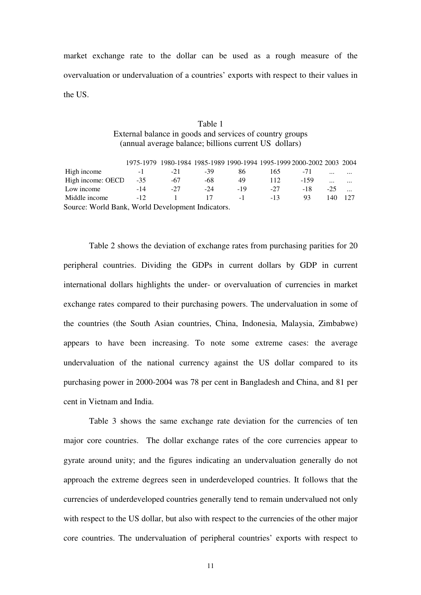market exchange rate to the dollar can be used as a rough measure of the overvaluation or undervaluation of a countries' exports with respect to their values in the US.

## Table 1 External balance in goods and services of country groups (annual average balance; billions current US dollars)

|                                                   |       | 1975-1979 1980-1984 1985-1989 1990-1994 1995-1999 2000-2002 2003 2004 |       |      |       |        |           |          |  |  |  |
|---------------------------------------------------|-------|-----------------------------------------------------------------------|-------|------|-------|--------|-----------|----------|--|--|--|
| High income                                       | $-1$  | $-21$                                                                 | -39   | 86   | 165   | $-71$  | $\cdots$  | $\cdots$ |  |  |  |
| High income: OECD                                 | $-35$ | -67                                                                   | -68   | 49   | 112   | $-159$ | $\ddotsc$ | $\cdots$ |  |  |  |
| Low income                                        | $-14$ | $-27$                                                                 | $-24$ | -19  | $-27$ | -18    | $-25$     | $\cdots$ |  |  |  |
| Middle income                                     | $-12$ |                                                                       |       | $-1$ | $-13$ | 93     | 140       | 127      |  |  |  |
| Source: World Bank, World Development Indicators. |       |                                                                       |       |      |       |        |           |          |  |  |  |

Table 2 shows the deviation of exchange rates from purchasing parities for 20 peripheral countries. Dividing the GDPs in current dollars by GDP in current international dollars highlights the under- or overvaluation of currencies in market exchange rates compared to their purchasing powers. The undervaluation in some of the countries (the South Asian countries, China, Indonesia, Malaysia, Zimbabwe) appears to have been increasing. To note some extreme cases: the average undervaluation of the national currency against the US dollar compared to its purchasing power in 2000-2004 was 78 per cent in Bangladesh and China, and 81 per cent in Vietnam and India.

Table 3 shows the same exchange rate deviation for the currencies of ten major core countries. The dollar exchange rates of the core currencies appear to gyrate around unity; and the figures indicating an undervaluation generally do not approach the extreme degrees seen in underdeveloped countries. It follows that the currencies of underdeveloped countries generally tend to remain undervalued not only with respect to the US dollar, but also with respect to the currencies of the other major core countries. The undervaluation of peripheral countries' exports with respect to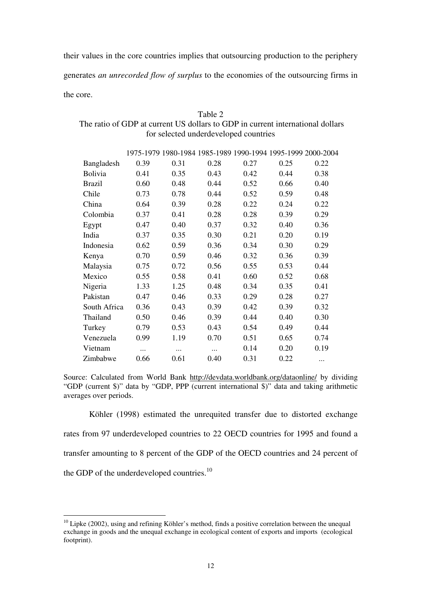their values in the core countries implies that outsourcing production to the periphery generates *an unrecorded flow of surplus* to the economies of the outsourcing firms in

the core.

#### Table 2

# The ratio of GDP at current US dollars to GDP in current international dollars for selected underdeveloped countries

|                |      |          |          |      | 1975-1979 1980-1984 1985-1989 1990-1994 1995-1999 2000-2004 |          |
|----------------|------|----------|----------|------|-------------------------------------------------------------|----------|
| Bangladesh     | 0.39 | 0.31     | 0.28     | 0.27 | 0.25                                                        | 0.22     |
| <b>Bolivia</b> | 0.41 | 0.35     | 0.43     | 0.42 | 0.44                                                        | 0.38     |
| <b>Brazil</b>  | 0.60 | 0.48     | 0.44     | 0.52 | 0.66                                                        | 0.40     |
| Chile          | 0.73 | 0.78     | 0.44     | 0.52 | 0.59                                                        | 0.48     |
| China          | 0.64 | 0.39     | 0.28     | 0.22 | 0.24                                                        | 0.22     |
| Colombia       | 0.37 | 0.41     | 0.28     | 0.28 | 0.39                                                        | 0.29     |
| Egypt          | 0.47 | 0.40     | 0.37     | 0.32 | 0.40                                                        | 0.36     |
| India          | 0.37 | 0.35     | 0.30     | 0.21 | 0.20                                                        | 0.19     |
| Indonesia      | 0.62 | 0.59     | 0.36     | 0.34 | 0.30                                                        | 0.29     |
| Kenya          | 0.70 | 0.59     | 0.46     | 0.32 | 0.36                                                        | 0.39     |
| Malaysia       | 0.75 | 0.72     | 0.56     | 0.55 | 0.53                                                        | 0.44     |
| Mexico         | 0.55 | 0.58     | 0.41     | 0.60 | 0.52                                                        | 0.68     |
| Nigeria        | 1.33 | 1.25     | 0.48     | 0.34 | 0.35                                                        | 0.41     |
| Pakistan       | 0.47 | 0.46     | 0.33     | 0.29 | 0.28                                                        | 0.27     |
| South Africa   | 0.36 | 0.43     | 0.39     | 0.42 | 0.39                                                        | 0.32     |
| Thailand       | 0.50 | 0.46     | 0.39     | 0.44 | 0.40                                                        | 0.30     |
| Turkey         | 0.79 | 0.53     | 0.43     | 0.54 | 0.49                                                        | 0.44     |
| Venezuela      | 0.99 | 1.19     | 0.70     | 0.51 | 0.65                                                        | 0.74     |
| Vietnam        |      | $\cdots$ | $\cdots$ | 0.14 | 0.20                                                        | 0.19     |
| Zimbabwe       | 0.66 | 0.61     | 0.40     | 0.31 | 0.22                                                        | $\cdots$ |

Source: Calculated from World Bank http://devdata.worldbank.org/dataonline/ by dividing "GDP (current \$)" data by "GDP, PPP (current international \$)" data and taking arithmetic averages over periods.

Köhler (1998) estimated the unrequited transfer due to distorted exchange rates from 97 underdeveloped countries to 22 OECD countries for 1995 and found a transfer amounting to 8 percent of the GDP of the OECD countries and 24 percent of the GDP of the underdeveloped countries. $10$ 

 $10$  Lipke (2002), using and refining Köhler's method, finds a positive correlation between the unequal exchange in goods and the unequal exchange in ecological content of exports and imports (ecological footprint).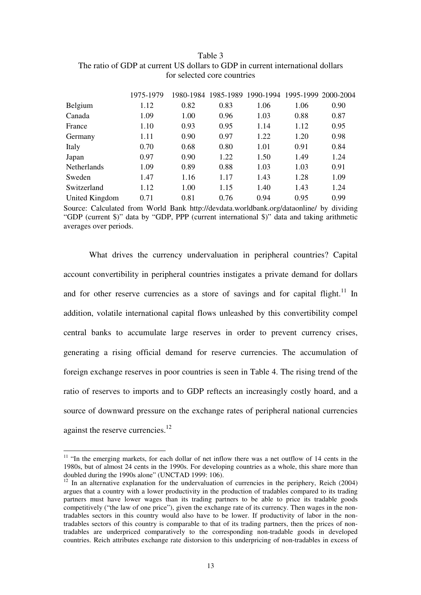|                    | 1975-1979 |      | 1980-1984 1985-1989 | 1990-1994 1995-1999 2000-2004 |      |      |
|--------------------|-----------|------|---------------------|-------------------------------|------|------|
| Belgium            | 1.12      | 0.82 | 0.83                | 1.06                          | 1.06 | 0.90 |
| Canada             | 1.09      | 1.00 | 0.96                | 1.03                          | 0.88 | 0.87 |
| France             | 1.10      | 0.93 | 0.95                | 1.14                          | 1.12 | 0.95 |
| Germany            | 1.11      | 0.90 | 0.97                | 1.22                          | 1.20 | 0.98 |
| Italy              | 0.70      | 0.68 | 0.80                | 1.01                          | 0.91 | 0.84 |
| Japan              | 0.97      | 0.90 | 1.22                | 1.50                          | 1.49 | 1.24 |
| <b>Netherlands</b> | 1.09      | 0.89 | 0.88                | 1.03                          | 1.03 | 0.91 |
| Sweden             | 1.47      | 1.16 | 1.17                | 1.43                          | 1.28 | 1.09 |
| Switzerland        | 1.12      | 1.00 | 1.15                | 1.40                          | 1.43 | 1.24 |
| United Kingdom     | 0.71      | 0.81 | 0.76                | 0.94                          | 0.95 | 0.99 |

Table 3 The ratio of GDP at current US dollars to GDP in current international dollars for selected core countries

Source: Calculated from World Bank http://devdata.worldbank.org/dataonline/ by dividing "GDP (current \$)" data by "GDP, PPP (current international \$)" data and taking arithmetic averages over periods.

What drives the currency undervaluation in peripheral countries? Capital account convertibility in peripheral countries instigates a private demand for dollars and for other reserve currencies as a store of savings and for capital flight.<sup>11</sup> In addition, volatile international capital flows unleashed by this convertibility compel central banks to accumulate large reserves in order to prevent currency crises, generating a rising official demand for reserve currencies. The accumulation of foreign exchange reserves in poor countries is seen in Table 4. The rising trend of the ratio of reserves to imports and to GDP reftects an increasingly costly hoard, and a source of downward pressure on the exchange rates of peripheral national currencies against the reserve currencies.<sup>12</sup>

<sup>&</sup>lt;sup>11</sup> "In the emerging markets, for each dollar of net inflow there was a net outflow of 14 cents in the 1980s, but of almost 24 cents in the 1990s. For developing countries as a whole, this share more than doubled during the 1990s alone" (UNCTAD 1999: 106).

 $12$  In an alternative explanation for the undervaluation of currencies in the periphery, Reich (2004) argues that a country with a lower productivity in the production of tradables compared to its trading partners must have lower wages than its trading partners to be able to price its tradable goods competitively ("the law of one price"), given the exchange rate of its currency. Then wages in the nontradables sectors in this country would also have to be lower. If productivity of labor in the nontradables sectors of this country is comparable to that of its trading partners, then the prices of nontradables are underpriced comparatively to the corresponding non-tradable goods in developed countries. Reich attributes exchange rate distorsion to this underpricing of non-tradables in excess of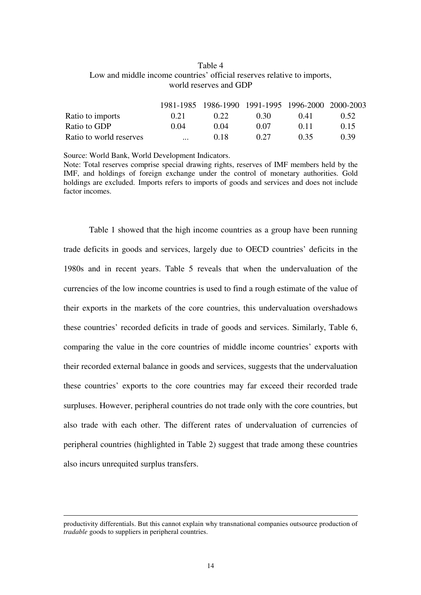## Table 4 Low and middle income countries' official reserves relative to imports, world reserves and GDP

|                         |          | 1981-1985 1986-1990 1991-1995 1996-2000 2000-2003 |      |       |       |
|-------------------------|----------|---------------------------------------------------|------|-------|-------|
| Ratio to imports        | 0.21     | 0.22                                              | 0.30 | (141) | 0.52  |
| Ratio to GDP            | 0.04     | 0.04                                              | 0.07 | 011   | () 15 |
| Ratio to world reserves | $\cdots$ | 0.18                                              | 0.27 | (135) | 0.39  |

Source: World Bank, World Development Indicators.

Note: Total reserves comprise special drawing rights, reserves of IMF members held by the IMF, and holdings of foreign exchange under the control of monetary authorities. Gold holdings are excluded. Imports refers to imports of goods and services and does not include factor incomes.

Table 1 showed that the high income countries as a group have been running trade deficits in goods and services, largely due to OECD countries' deficits in the 1980s and in recent years. Table 5 reveals that when the undervaluation of the currencies of the low income countries is used to find a rough estimate of the value of their exports in the markets of the core countries, this undervaluation overshadows these countries' recorded deficits in trade of goods and services. Similarly, Table 6, comparing the value in the core countries of middle income countries' exports with their recorded external balance in goods and services, suggests that the undervaluation these countries' exports to the core countries may far exceed their recorded trade surpluses. However, peripheral countries do not trade only with the core countries, but also trade with each other. The different rates of undervaluation of currencies of peripheral countries (highlighted in Table 2) suggest that trade among these countries also incurs unrequited surplus transfers.

productivity differentials. But this cannot explain why transnational companies outsource production of *tradable* goods to suppliers in peripheral countries.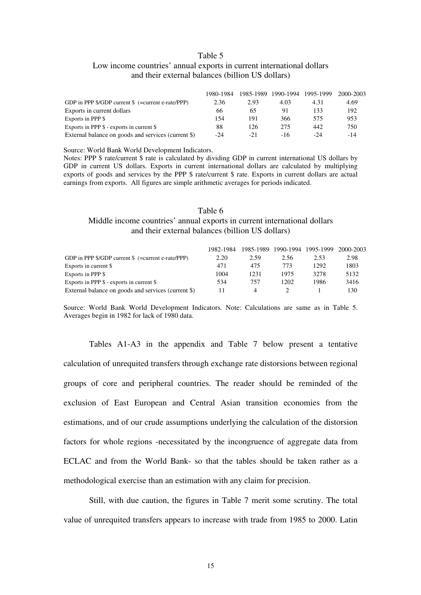#### Table 5

#### Low income countries' annual exports in current international dollars and their external balances (billion US dollars)

|                                                     | 1980-1984 |       | 1985-1989 1990-1994 1995-1999 |      | 2000-2003 |
|-----------------------------------------------------|-----------|-------|-------------------------------|------|-----------|
| GDP in PPP \$/GDP current \$ (=current e-rate/PPP)  | 2.36      | 2.93  | 4.03                          | 4.31 | 4.69      |
| Exports in current dollars                          | 66        | 65    | 91                            | 133  | 192       |
| Exports in PPP \$                                   | 154       | 191   | 366                           | 575  | 953       |
| Exports in PPP $\$ - exports in current $\$         | 88        | 126   | 275                           | 442  | 750       |
| External balance on goods and services (current \$) | $-24$     | $-21$ | -16                           | -24  | $-14$     |

Source: World Bank World Development Indicators.

Notes: PPP \$ rate/current \$ rate is calculated by dividing GDP in current international US dollars by GDP in current US dollars. Exports in current international dollars are calculated by multiplying exports of goods and services by the PPP \$ rate/current \$ rate. Exports in current dollars are actual earnings from exports. All figures are simple arithmetic averages for periods indicated.

#### Table 6 Middle income countries' annual exports in current international dollars and their external balances (billion US dollars)

|                                                     | 1982-1984 |           | 1985-1989 1990-1994 1995-1999 |      | 2000-2003 |
|-----------------------------------------------------|-----------|-----------|-------------------------------|------|-----------|
| GDP in PPP \$/GDP current \$ (=current e-rate/PPP)  | 2.20      | 2.59      | 2.56                          | 2.53 | 2.98      |
| Exports in current \$                               | 471       | 475       | 773                           | 1292 | 1803      |
| Exports in PPP \$                                   | 1004      | 1231      | 1975                          | 3278 | 5132      |
| Exports in PPP $$ -$ exports in current $$$         | 534       | 757       | 1202                          | 1986 | 3416      |
| External balance on goods and services (current \$) |           | $\Lambda$ |                               |      | 130       |

Source: World Bank World Development Indicators. Note: Calculations are same as in Table 5. Averages begin in 1982 for lack of 1980 data.

Tables A1-A3 in the appendix and Table 7 below present a tentative calculation of unrequited transfers through exchange rate distorsions between regional groups of core and peripheral countries. The reader should be reminded of the exclusion of East European and Central Asian transition economies from the estimations, and of our crude assumptions underlying the calculation of the distorsion factors for whole regions -necessitated by the incongruence of aggregate data from ECLAC and from the World Bank- so that the tables should be taken rather as a methodological exercise than an estimation with any claim for precision.

Still, with due caution, the figures in Table 7 merit some scrutiny. The total value of unrequited transfers appears to increase with trade from 1985 to 2000. Latin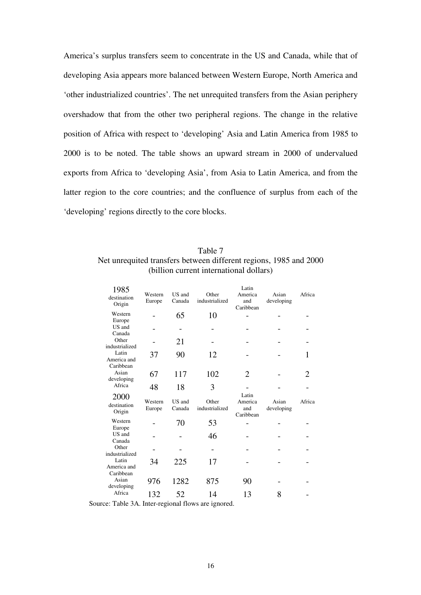America's surplus transfers seem to concentrate in the US and Canada, while that of developing Asia appears more balanced between Western Europe, North America and 'other industrialized countries'. The net unrequited transfers from the Asian periphery overshadow that from the other two peripheral regions. The change in the relative position of Africa with respect to 'developing' Asia and Latin America from 1985 to 2000 is to be noted. The table shows an upward stream in 2000 of undervalued exports from Africa to 'developing Asia', from Asia to Latin America, and from the latter region to the core countries; and the confluence of surplus from each of the 'developing' regions directly to the core blocks.

Table 7 Net unrequited transfers between different regions, 1985 and 2000 (billion current international dollars)

| 1985<br>destination<br>Origin     | Western<br>Europe | US and<br>Canada | Other<br>industrialized | Latin<br>America<br>and<br>Caribbean | Asian<br>developing | Africa |
|-----------------------------------|-------------------|------------------|-------------------------|--------------------------------------|---------------------|--------|
| Western<br>Europe                 |                   | 65               | 10                      |                                      |                     |        |
| US and<br>Canada                  |                   |                  |                         |                                      |                     |        |
| Other<br>industrialized           |                   | 21               |                         |                                      |                     |        |
| Latin<br>America and<br>Caribbean | 37                | 90               | 12                      |                                      |                     | 1      |
| Asian<br>developing               | 67                | 117              | 102                     | 2                                    |                     | 2      |
| Africa                            | 48                | 18               | 3                       |                                      |                     |        |
|                                   |                   |                  |                         |                                      |                     |        |
| 2000<br>destination<br>Origin     | Western<br>Europe | US and<br>Canada | Other<br>industrialized | Latin<br>America<br>and<br>Caribbean | Asian<br>developing | Africa |
| Western<br>Europe                 |                   | 70               | 53                      |                                      |                     |        |
| US and<br>Canada                  |                   |                  | 46                      |                                      |                     |        |
| Other<br>industrialized           |                   |                  |                         |                                      |                     |        |
| Latin<br>America and<br>Caribbean | 34                | 225              | 17                      |                                      |                     |        |
| Asian<br>developing               | 976               | 1282             | 875                     | 90                                   |                     |        |

Source: Table 3A. Inter-regional flows are ignored.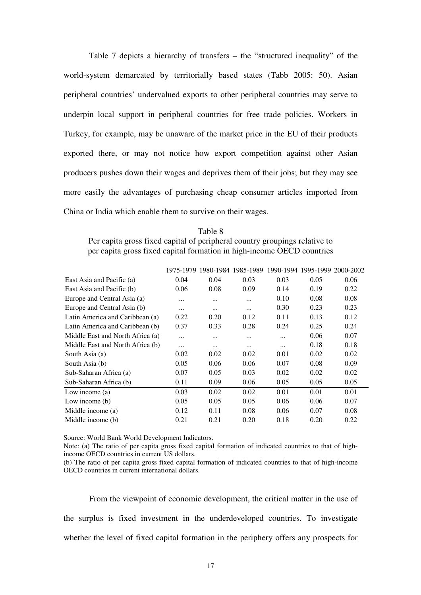Table 7 depicts a hierarchy of transfers – the "structured inequality" of the world-system demarcated by territorially based states (Tabb 2005: 50). Asian peripheral countries' undervalued exports to other peripheral countries may serve to underpin local support in peripheral countries for free trade policies. Workers in Turkey, for example, may be unaware of the market price in the EU of their products exported there, or may not notice how export competition against other Asian producers pushes down their wages and deprives them of their jobs; but they may see more easily the advantages of purchasing cheap consumer articles imported from China or India which enable them to survive on their wages.

Table 8 Per capita gross fixed capital of peripheral country groupings relative to per capita gross fixed capital formation in high-income OECD countries

|                                  |          | 1975-1979 1980-1984 1985-1989 |          |          | 1990-1994 1995-1999 2000-2002 |      |
|----------------------------------|----------|-------------------------------|----------|----------|-------------------------------|------|
| East Asia and Pacific (a)        | 0.04     | 0.04                          | 0.03     | 0.03     | 0.05                          | 0.06 |
| East Asia and Pacific (b)        | 0.06     | 0.08                          | 0.09     | 0.14     | 0.19                          | 0.22 |
| Europe and Central Asia (a)      | $\cdots$ | $\cdots$                      |          | 0.10     | 0.08                          | 0.08 |
| Europe and Central Asia (b)      | $\cdots$ |                               | $\cdots$ | 0.30     | 0.23                          | 0.23 |
| Latin America and Caribbean (a)  | 0.22     | 0.20                          | 0.12     | 0.11     | 0.13                          | 0.12 |
| Latin America and Caribbean (b)  | 0.37     | 0.33                          | 0.28     | 0.24     | 0.25                          | 0.24 |
| Middle East and North Africa (a) | $\cdots$ |                               |          |          | 0.06                          | 0.07 |
| Middle East and North Africa (b) | $\cdots$ | $\cdots$                      | $\cdots$ | $\cdots$ | 0.18                          | 0.18 |
| South Asia (a)                   | 0.02     | 0.02                          | 0.02     | 0.01     | 0.02                          | 0.02 |
| South Asia (b)                   | 0.05     | 0.06                          | 0.06     | 0.07     | 0.08                          | 0.09 |
| Sub-Saharan Africa (a)           | 0.07     | 0.05                          | 0.03     | 0.02     | 0.02                          | 0.02 |
| Sub-Saharan Africa (b)           | 0.11     | 0.09                          | 0.06     | 0.05     | 0.05                          | 0.05 |
| Low income $(a)$                 | 0.03     | 0.02                          | 0.02     | 0.01     | 0.01                          | 0.01 |
| Low income $(b)$                 | 0.05     | 0.05                          | 0.05     | 0.06     | 0.06                          | 0.07 |
| Middle income (a)                | 0.12     | 0.11                          | 0.08     | 0.06     | 0.07                          | 0.08 |
| Middle income (b)                | 0.21     | 0.21                          | 0.20     | 0.18     | 0.20                          | 0.22 |

Source: World Bank World Development Indicators.

Note: (a) The ratio of per capita gross fixed capital formation of indicated countries to that of highincome OECD countries in current US dollars.

(b) The ratio of per capita gross fixed capital formation of indicated countries to that of high-income OECD countries in current international dollars.

From the viewpoint of economic development, the critical matter in the use of the surplus is fixed investment in the underdeveloped countries. To investigate whether the level of fixed capital formation in the periphery offers any prospects for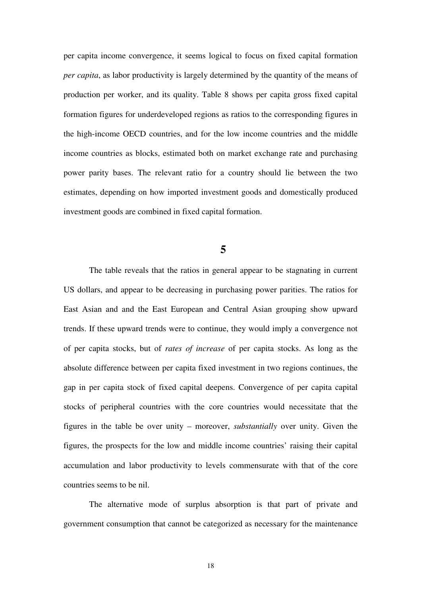per capita income convergence, it seems logical to focus on fixed capital formation *per capita*, as labor productivity is largely determined by the quantity of the means of production per worker, and its quality. Table 8 shows per capita gross fixed capital formation figures for underdeveloped regions as ratios to the corresponding figures in the high-income OECD countries, and for the low income countries and the middle income countries as blocks, estimated both on market exchange rate and purchasing power parity bases. The relevant ratio for a country should lie between the two estimates, depending on how imported investment goods and domestically produced investment goods are combined in fixed capital formation.

# **5**

The table reveals that the ratios in general appear to be stagnating in current US dollars, and appear to be decreasing in purchasing power parities. The ratios for East Asian and and the East European and Central Asian grouping show upward trends. If these upward trends were to continue, they would imply a convergence not of per capita stocks, but of *rates of increase* of per capita stocks. As long as the absolute difference between per capita fixed investment in two regions continues, the gap in per capita stock of fixed capital deepens. Convergence of per capita capital stocks of peripheral countries with the core countries would necessitate that the figures in the table be over unity – moreover, *substantially* over unity. Given the figures, the prospects for the low and middle income countries' raising their capital accumulation and labor productivity to levels commensurate with that of the core countries seems to be nil.

The alternative mode of surplus absorption is that part of private and government consumption that cannot be categorized as necessary for the maintenance

18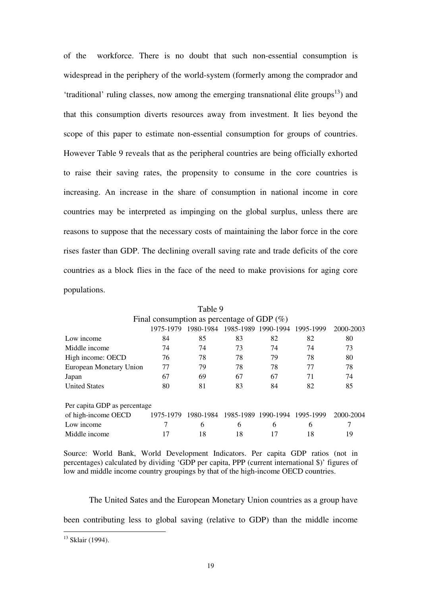of the workforce. There is no doubt that such non-essential consumption is widespread in the periphery of the world-system (formerly among the comprador and 'traditional' ruling classes, now among the emerging transnational élite groups $^{13}$ ) and that this consumption diverts resources away from investment. It lies beyond the scope of this paper to estimate non-essential consumption for groups of countries. However Table 9 reveals that as the peripheral countries are being officially exhorted to raise their saving rates, the propensity to consume in the core countries is increasing. An increase in the share of consumption in national income in core countries may be interpreted as impinging on the global surplus, unless there are reasons to suppose that the necessary costs of maintaining the labor force in the core rises faster than GDP. The declining overall saving rate and trade deficits of the core countries as a block flies in the face of the need to make provisions for aging core populations.

| Table 9                                       |           |           |    |                               |           |           |  |  |  |  |
|-----------------------------------------------|-----------|-----------|----|-------------------------------|-----------|-----------|--|--|--|--|
| Final consumption as percentage of GDP $(\%)$ |           |           |    |                               |           |           |  |  |  |  |
|                                               | 1975-1979 | 1980-1984 |    | 1985-1989 1990-1994           | 1995-1999 | 2000-2003 |  |  |  |  |
| Low income                                    | 84        | 85        | 83 | 82                            | 82        | 80        |  |  |  |  |
| Middle income                                 | 74        | 74        | 73 | 74                            | 74        | 73        |  |  |  |  |
| High income: OECD                             | 76        | 78        | 78 | 79                            | 78        | 80        |  |  |  |  |
| European Monetary Union                       | 77        | 79        | 78 | 78                            | 77        | 78        |  |  |  |  |
| Japan                                         | 67        | 69        | 67 | 67                            | 71        | 74        |  |  |  |  |
| <b>United States</b>                          | 80        | 81        | 83 | 84                            | 82        | 85        |  |  |  |  |
| Per capita GDP as percentage                  |           |           |    |                               |           |           |  |  |  |  |
| of high-income OECD                           | 1975-1979 | 1980-1984 |    | 1985-1989 1990-1994 1995-1999 |           | 2000-2004 |  |  |  |  |
| Low income                                    |           | 6         | 6  | 6                             | 6         |           |  |  |  |  |
| Middle income                                 | 17        | 18        | 18 | 17                            | 18        | 19        |  |  |  |  |

Source: World Bank, World Development Indicators. Per capita GDP ratios (not in percentages) calculated by dividing 'GDP per capita, PPP (current international \$)' figures of low and middle income country groupings by that of the high-income OECD countries.

The United Sates and the European Monetary Union countries as a group have been contributing less to global saving (relative to GDP) than the middle income

<sup>&</sup>lt;sup>13</sup> Sklair (1994).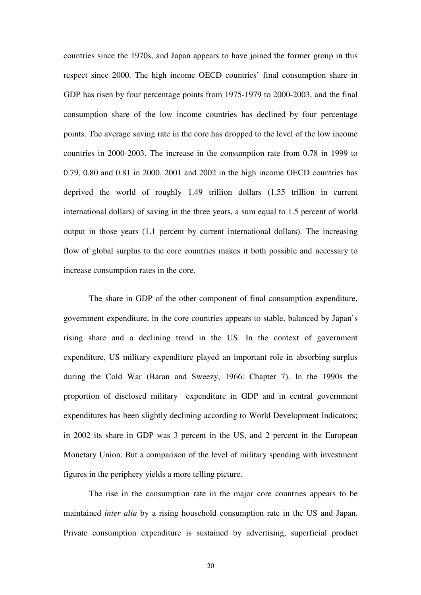countries since the 1970s, and Japan appears to have joined the former group in this respect since 2000. The high income OECD countries' final consumption share in GDP has risen by four percentage points from 1975-1979 to 2000-2003, and the final consumption share of the low income countries has declined by four percentage points. The average saving rate in the core has dropped to the level of the low income countries in 2000-2003. The increase in the consumption rate from 0.78 in 1999 to 0.79, 0.80 and 0.81 in 2000, 2001 and 2002 in the high income OECD countries has deprived the world of roughly 1.49 trillion dollars (1.55 trillion in current international dollars) of saving in the three years, a sum equal to 1.5 percent of world output in those years (1.1 percent by current international dollars). The increasing flow of global surplus to the core countries makes it both possible and necessary to increase consumption rates in the core.

The share in GDP of the other component of final consumption expenditure, government expenditure, in the core countries appears to stable, balanced by Japan's rising share and a declining trend in the US. In the context of government expenditure, US military expenditure played an important role in absorbing surplus during the Cold War (Baran and Sweezy, 1966: Chapter 7). In the 1990s the proportion of disclosed military expenditure in GDP and in central government expenditures has been slightly declining according to World Development Indicators; in 2002 its share in GDP was 3 percent in the US, and 2 percent in the European Monetary Union. But a comparison of the level of military spending with investment figures in the periphery yields a more telling picture.

The rise in the consumption rate in the major core countries appears to be maintained *inter alia* by a rising household consumption rate in the US and Japan. Private consumption expenditure is sustained by advertising, superficial product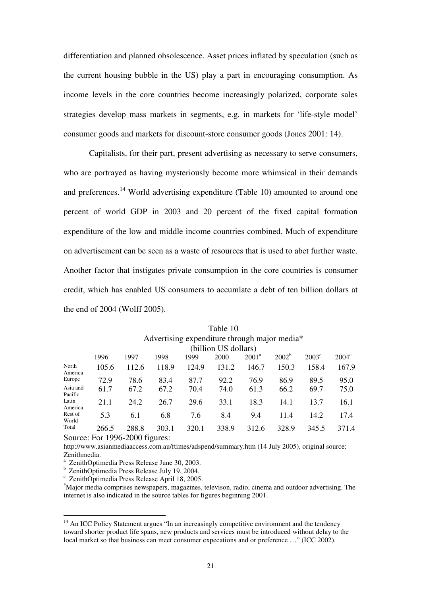differentiation and planned obsolescence. Asset prices inflated by speculation (such as the current housing bubble in the US) play a part in encouraging consumption. As income levels in the core countries become increasingly polarized, corporate sales strategies develop mass markets in segments, e.g. in markets for 'life-style model' consumer goods and markets for discount-store consumer goods (Jones 2001: 14).

Capitalists, for their part, present advertising as necessary to serve consumers, who are portrayed as having mysteriously become more whimsical in their demands and preferences.<sup>14</sup> World advertising expenditure (Table 10) amounted to around one percent of world GDP in 2003 and 20 percent of the fixed capital formation expenditure of the low and middle income countries combined. Much of expenditure on advertisement can be seen as a waste of resources that is used to abet further waste. Another factor that instigates private consumption in the core countries is consumer credit, which has enabled US consumers to accumlate a debt of ten billion dollars at the end of 2004 (Wolff 2005).

|                     |                      |       |       |       | Advertising expenditure through major media <sup>*</sup> |                |          |                |                |  |  |  |
|---------------------|----------------------|-------|-------|-------|----------------------------------------------------------|----------------|----------|----------------|----------------|--|--|--|
|                     | (billion US dollars) |       |       |       |                                                          |                |          |                |                |  |  |  |
|                     | 1996                 | 1997  | 1998  | 1999  | 2000                                                     | $2001^{\rm a}$ | $2002^b$ | $2003^{\circ}$ | $2004^{\circ}$ |  |  |  |
| North<br>America    | 105.6                | 112.6 | 118.9 | 124.9 | 131.2                                                    | 146.7          | 150.3    | 158.4          | 167.9          |  |  |  |
| Europe              | 72.9                 | 78.6  | 83.4  | 87.7  | 92.2                                                     | 76.9           | 86.9     | 89.5           | 95.0           |  |  |  |
| Asia and<br>Pacific | 61.7                 | 67.2  | 67.2  | 70.4  | 74.0                                                     | 61.3           | 66.2     | 69.7           | 75.0           |  |  |  |
| Latin<br>America    | 21.1                 | 24.2  | 26.7  | 29.6  | 33.1                                                     | 18.3           | 14.1     | 13.7           | 16.1           |  |  |  |
| Rest of<br>World    | 5.3                  | 6.1   | 6.8   | 7.6   | 8.4                                                      | 9.4            | 11.4     | 14.2           | 17.4           |  |  |  |
| Total               | 266.5                | 288.8 | 303.1 | 320.1 | 338.9                                                    | 312.6          | 328.9    | 345.5          | 371.4          |  |  |  |

| Table 10                                     |
|----------------------------------------------|
| Advertising expenditure through major media* |
| (billion IIS dollars)                        |

Source: For 1996-2000 figures:

http://www.asianmediaaccess.com.au/ftimes/adspend/summary.htm (14 July 2005), original source: Zenithmedia.

<sup>a</sup> ZenithOptimedia Press Release June 30, 2003.

<sup>b</sup> ZenithOptimedia Press Release July 19, 2004.

<sup>c</sup> ZenithOptimedia Press Release April 18, 2005.

\*Major media comprises newspapers, magazines, televison, radio, cinema and outdoor advertising. The internet is also indicated in the source tables for figures beginning 2001.

 $14$  An ICC Policy Statement argues "In an increasingly competitive environment and the tendency toward shorter product life spans, new products and services must be introduced without delay to the local market so that business can meet consumer expecations and or preference ..." (ICC 2002).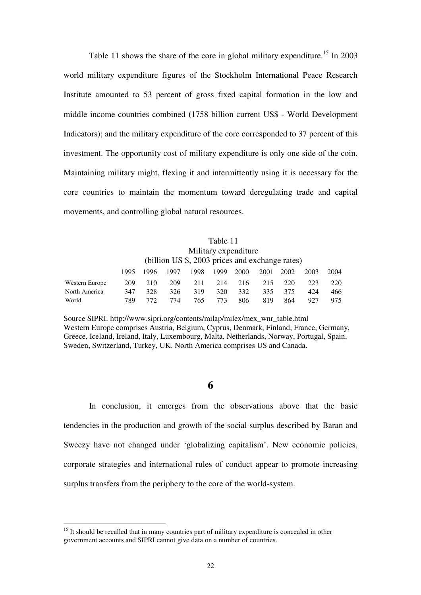Table 11 shows the share of the core in global military expenditure.<sup>15</sup> In 2003 world military expenditure figures of the Stockholm International Peace Research Institute amounted to 53 percent of gross fixed capital formation in the low and middle income countries combined (1758 billion current US\$ - World Development Indicators); and the military expenditure of the core corresponded to 37 percent of this investment. The opportunity cost of military expenditure is only one side of the coin. Maintaining military might, flexing it and intermittently using it is necessary for the core countries to maintain the momentum toward deregulating trade and capital movements, and controlling global natural resources.

|                                                 | Table 11             |      |      |      |      |      |      |      |      |      |
|-------------------------------------------------|----------------------|------|------|------|------|------|------|------|------|------|
|                                                 | Military expenditure |      |      |      |      |      |      |      |      |      |
| (billion US \$, 2003 prices and exchange rates) |                      |      |      |      |      |      |      |      |      |      |
|                                                 | 1995                 | 1996 | 1997 | 1998 | 1999 | 2000 | 2001 | 2002 | 2003 | 2004 |
| Western Europe                                  | 209                  | 210  | 209  | 211  | 214  | 216  | 215  | 220  | 223  | 220  |
| North America                                   | 347                  | 328  | 326  | 319  | 320  | 332  | 335  | 375  | 424  | 466  |
| World                                           | 789                  | 772  | 774  | 765  | 773  | 806  | 819  | 864  | 927  | 975  |

Source SIPRI. http://www.sipri.org/contents/milap/milex/mex\_wnr\_table.html Western Europe comprises Austria, Belgium, Cyprus, Denmark, Finland, France, Germany, Greece, Iceland, Ireland, Italy, Luxembourg, Malta, Netherlands, Norway, Portugal, Spain, Sweden, Switzerland, Turkey, UK. North America comprises US and Canada.

## **6**

In conclusion, it emerges from the observations above that the basic tendencies in the production and growth of the social surplus described by Baran and Sweezy have not changed under 'globalizing capitalism'. New economic policies, corporate strategies and international rules of conduct appear to promote increasing surplus transfers from the periphery to the core of the world-system.

<sup>&</sup>lt;sup>15</sup> It should be recalled that in many countries part of military expenditure is concealed in other government accounts and SIPRI cannot give data on a number of countries.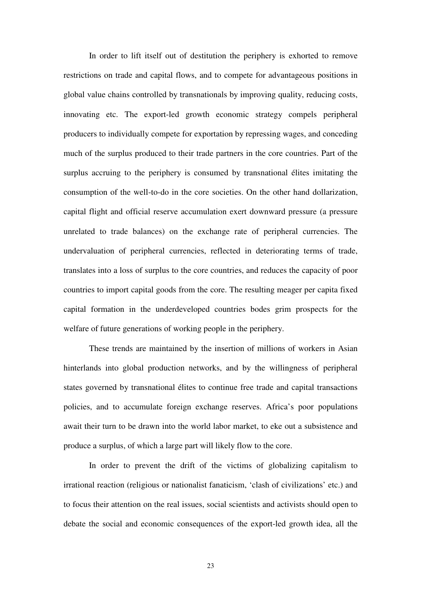In order to lift itself out of destitution the periphery is exhorted to remove restrictions on trade and capital flows, and to compete for advantageous positions in global value chains controlled by transnationals by improving quality, reducing costs, innovating etc. The export-led growth economic strategy compels peripheral producers to individually compete for exportation by repressing wages, and conceding much of the surplus produced to their trade partners in the core countries. Part of the surplus accruing to the periphery is consumed by transnational élites imitating the consumption of the well-to-do in the core societies. On the other hand dollarization, capital flight and official reserve accumulation exert downward pressure (a pressure unrelated to trade balances) on the exchange rate of peripheral currencies. The undervaluation of peripheral currencies, reflected in deteriorating terms of trade, translates into a loss of surplus to the core countries, and reduces the capacity of poor countries to import capital goods from the core. The resulting meager per capita fixed capital formation in the underdeveloped countries bodes grim prospects for the welfare of future generations of working people in the periphery.

These trends are maintained by the insertion of millions of workers in Asian hinterlands into global production networks, and by the willingness of peripheral states governed by transnational élites to continue free trade and capital transactions policies, and to accumulate foreign exchange reserves. Africa's poor populations await their turn to be drawn into the world labor market, to eke out a subsistence and produce a surplus, of which a large part will likely flow to the core.

In order to prevent the drift of the victims of globalizing capitalism to irrational reaction (religious or nationalist fanaticism, 'clash of civilizations' etc.) and to focus their attention on the real issues, social scientists and activists should open to debate the social and economic consequences of the export-led growth idea, all the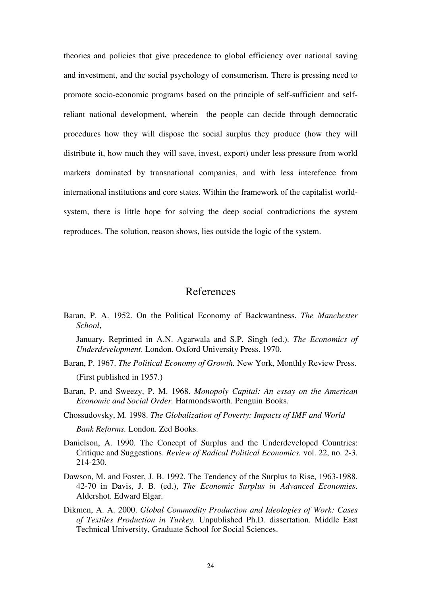theories and policies that give precedence to global efficiency over national saving and investment, and the social psychology of consumerism. There is pressing need to promote socio-economic programs based on the principle of self-sufficient and selfreliant national development, wherein the people can decide through democratic procedures how they will dispose the social surplus they produce (how they will distribute it, how much they will save, invest, export) under less pressure from world markets dominated by transnational companies, and with less interefence from international institutions and core states. Within the framework of the capitalist worldsystem, there is little hope for solving the deep social contradictions the system reproduces. The solution, reason shows, lies outside the logic of the system.

# References

Baran, P. A. 1952. On the Political Economy of Backwardness. *The Manchester School*,

January. Reprinted in A.N. Agarwala and S.P. Singh (ed.). *The Economics of Underdevelopment*. London. Oxford University Press. 1970.

- Baran, P. 1967. *The Political Economy of Growth.* New York, Monthly Review Press. (First published in 1957.)
- Baran, P. and Sweezy, P. M. 1968. *Monopoly Capital: An essay on the American Economic and Social Order.* Harmondsworth. Penguin Books.
- Chossudovsky, M. 1998. *The Globalization of Poverty: Impacts of IMF and World*

*Bank Reforms.* London. Zed Books.

- Danielson, A. 1990. The Concept of Surplus and the Underdeveloped Countries: Critique and Suggestions. *Review of Radical Political Economics.* vol. 22, no. 2-3. 214-230.
- Dawson, M. and Foster, J. B. 1992. The Tendency of the Surplus to Rise, 1963-1988. 42-70 in Davis, J. B. (ed.), *The Economic Surplus in Advanced Economies*. Aldershot. Edward Elgar.
- Dikmen, A. A. 2000. *Global Commodity Production and Ideologies of Work: Cases of Textiles Production in Turkey.* Unpublished Ph.D. dissertation. Middle East Technical University, Graduate School for Social Sciences.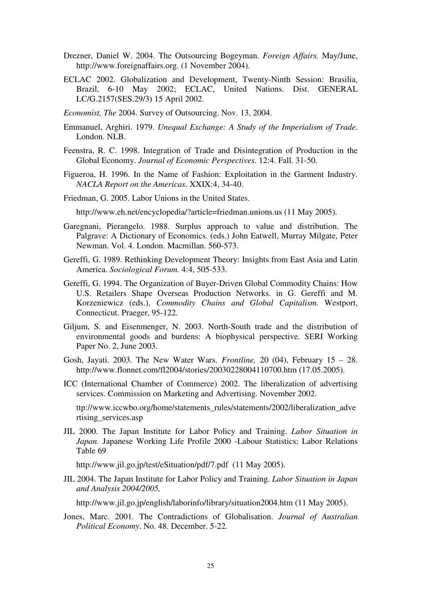- Drezner, Daniel W. 2004. The Outsourcing Bogeyman. *Foreign Affairs.* May/June, http://www.foreignaffairs.org. (1 November 2004).
- ECLAC 2002. Globalization and Development, Twenty-Ninth Session: Brasilia, Brazil, 6-10 May 2002; ECLAC, United Nations. Dist. GENERAL LC/G.2157(SES.29/3) 15 April 2002.
- *Economist, The* 2004. Survey of Outsourcing. Nov. 13, 2004.
- Emmanuel, Arghiri. 1979. *Unequal Exchange: A Study of the Imperialism of Trade*. London. NLB.
- Feenstra, R. C. 1998. Integration of Trade and Disintegration of Production in the Global Economy. *Journal of Economic Perspectives.* 12:4. Fall. 31-50.
- Figueroa, H. 1996. In the Name of Fashion: Exploitation in the Garment Industry. *NACLA Report on the Americas*. XXIX:4, 34-40.
- Friedman, G. 2005. Labor Unions in the United States.

http://www.eh.net/encyclopedia/?article=friedman.unions.us (11 May 2005).

- Garegnani, Pierangelo. 1988. Surplus approach to value and distribution. The Palgrave: A Dictionary of Economics. (eds.) John Eatwell, Murray Milgate, Peter Newman. Vol. 4. London. Macmillan. 560-573.
- Gereffi, G. 1989. Rethinking Development Theory: Insights from East Asia and Latin America. *Sociological Forum.* 4:4, 505-533.
- Gereffi, G. 1994. The Organization of Buyer-Driven Global Commodity Chains: How U.S. Retailers Shape Overseas Production Networks. in G. Gereffi and M. Korzeniewicz (eds.), *Commodity Chains and Global Capitalism.* Westport, Connecticut. Praeger, 95-122.
- Giljum, S. and Eisenmenger, N. 2003. North-South trade and the distribution of environmental goods and burdens: A biophysical perspective. SERI Working Paper No. 2, June 2003.
- Gosh, Jayati. 2003. The New Water Wars. *Frontline,* 20 (04), February 15 28. http://www.flonnet.com/fl2004/stories/20030228004110700.htm (17.05.2005).
- ICC (International Chamber of Commerce) 2002. The liberalization of advertising services. Commission on Marketing and Advertising. November 2002.

ttp://www.iccwbo.org/home/statements\_rules/statements/2002/liberalization\_adve rtising\_services.asp

JIL 2000. The Japan Institute for Labor Policy and Training. *Labor Situation in Japan.* Japanese Working Life Profile 2000 -Labour Statistics; Labor Relations Table 69

http://www.jil.go.jp/test/eSituation/pdf/7.pdf (11 May 2005).

JIL 2004. The Japan Institute for Labor Policy and Training. *Labor Situation in Japan and Analysis 2004/2005,*

http://www.jil.go.jp/english/laborinfo/library/situation2004.htm (11 May 2005).

Jones, Marc. 2001. The Contradictions of Globalisation. *Journal of Australian Political Economy*. No. 48. December. 5-22.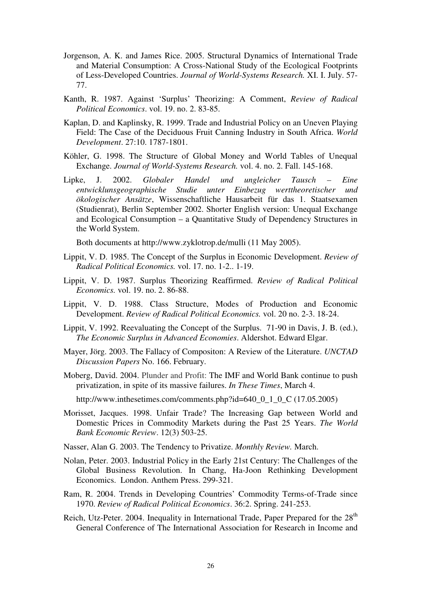- Jorgenson, A. K. and James Rice. 2005. Structural Dynamics of International Trade and Material Consumption: A Cross-National Study of the Ecological Footprints of Less-Developed Countries. *Journal of World-Systems Research.* XI. I. July. 57- 77.
- Kanth, R. 1987. Against 'Surplus' Theorizing: A Comment, *Review of Radical Political Economics*. vol. 19. no. 2. 83-85.
- Kaplan, D. and Kaplinsky, R. 1999. Trade and Industrial Policy on an Uneven Playing Field: The Case of the Deciduous Fruit Canning Industry in South Africa. *World Development*. 27:10. 1787-1801.
- Köhler, G. 1998. The Structure of Global Money and World Tables of Unequal Exchange. *Journal of World-Systems Research.* vol. 4. no. 2. Fall. 145-168.
- Lipke, J. 2002. *Globaler Handel und ungleicher Tausch – Eine entwicklunsgeographische Studie unter Einbezug werttheoretischer und ökologischer Ansätze*, Wissenschaftliche Hausarbeit für das 1. Staatsexamen (Studienrat), Berlin September 2002. Shorter English version: Unequal Exchange and Ecological Consumption – a Quantitative Study of Dependency Structures in the World System.

Both documents at http://www.zyklotrop.de/mulli (11 May 2005).

- Lippit, V. D. 1985. The Concept of the Surplus in Economic Development. *Review of Radical Political Economics.* vol. 17. no. 1-2.. 1-19.
- Lippit, V. D. 1987. Surplus Theorizing Reaffirmed. *Review of Radical Political Economics.* vol. 19. no. 2. 86-88.
- Lippit, V. D. 1988. Class Structure, Modes of Production and Economic Development. *Review of Radical Political Economics.* vol. 20 no. 2-3. 18-24.
- Lippit, V. 1992. Reevaluating the Concept of the Surplus. 71-90 in Davis, J. B. (ed.), *The Economic Surplus in Advanced Economies*. Aldershot. Edward Elgar.
- Mayer, Jörg. 2003. The Fallacy of Compositon: A Review of the Literature. *UNCTAD Discussion Papers* No. 166. February.
- Moberg, David. 2004. Plunder and Profit: The IMF and World Bank continue to push privatization, in spite of its massive failures. *In These Times*, March 4.
	- http://www.inthesetimes.com/comments.php?id=640\_0\_1\_0\_C (17.05.2005)
- Morisset, Jacques. 1998. Unfair Trade? The Increasing Gap between World and Domestic Prices in Commodity Markets during the Past 25 Years. *The World Bank Economic Review*. 12(3) 503-25.
- Nasser, Alan G. 2003. The Tendency to Privatize. *Monthly Review.* March.
- Nolan, Peter. 2003. Industrial Policy in the Early 21st Century: The Challenges of the Global Business Revolution. In Chang, Ha-Joon Rethinking Development Economics. London. Anthem Press. 299-321.
- Ram, R. 2004. Trends in Developing Countries' Commodity Terms-of-Trade since 1970. *Review of Radical Political Economics*. 36:2. Spring. 241-253.
- Reich, Utz-Peter. 2004. Inequality in International Trade, Paper Prepared for the  $28<sup>th</sup>$ General Conference of The International Association for Research in Income and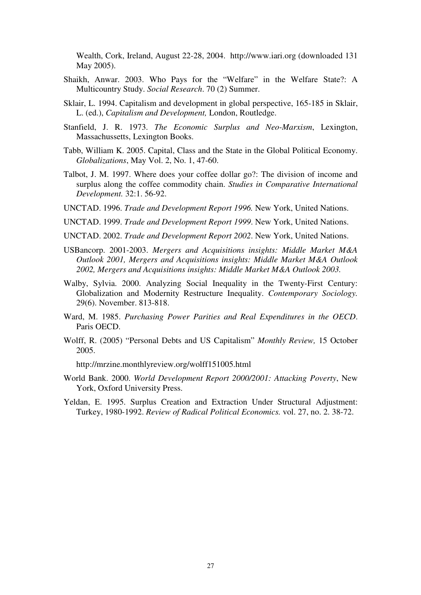Wealth, Cork, Ireland, August 22-28, 2004. http://www.iari.org (downloaded 131 May 2005).

- Shaikh, Anwar. 2003. Who Pays for the "Welfare" in the Welfare State?: A Multicountry Study. *Social Research*. 70 (2) Summer.
- Sklair, L. 1994. Capitalism and development in global perspective, 165-185 in Sklair, L. (ed.), *Capitalism and Development,* London, Routledge.
- Stanfield, J. R. 1973. *The Economic Surplus and Neo-Marxism*, Lexington, Massachussetts, Lexington Books.
- Tabb, William K. 2005. Capital, Class and the State in the Global Political Economy. *Globalizations*, May Vol. 2, No. 1, 47-60.
- Talbot, J. M. 1997. Where does your coffee dollar go?: The division of income and surplus along the coffee commodity chain. *Studies in Comparative International Development.* 32:1. 56-92.
- UNCTAD. 1996. *Trade and Development Report 1996.* New York, United Nations.
- UNCTAD. 1999. *Trade and Development Report 1999*. New York, United Nations.
- UNCTAD. 2002. *Trade and Development Report 2002*. New York, United Nations.
- USBancorp. 2001-2003. *Mergers and Acquisitions insights: Middle Market M&A Outlook 2001, Mergers and Acquisitions insights: Middle Market M&A Outlook 2002, Mergers and Acquisitions insights: Middle Market M&A Outlook 2003.*
- Walby, Sylvia. 2000. Analyzing Social Inequality in the Twenty-First Century: Globalization and Modernity Restructure Inequality. *Contemporary Sociology.* 29(6). November. 813-818.
- Ward, M. 1985. *Purchasing Power Parities and Real Expenditures in the OECD*. Paris OECD.
- Wolff, R. (2005) "Personal Debts and US Capitalism" *Monthly Review,* 15 October 2005.

http://mrzine.monthlyreview.org/wolff151005.html

- World Bank. 2000. *World Development Report 2000/2001: Attacking Poverty*, New York, Oxford University Press.
- Yeldan, E. 1995. Surplus Creation and Extraction Under Structural Adjustment: Turkey, 1980-1992. *Review of Radical Political Economics.* vol. 27, no. 2. 38-72.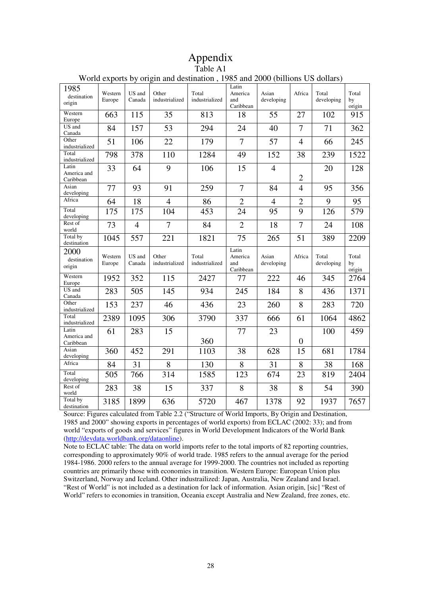# Appendix Table A1

|                                   | World exports by origin and destination, 1985 and 2000 (billions US dollars) |                  |                         |                         |                                      |                     |                |                     |                       |
|-----------------------------------|------------------------------------------------------------------------------|------------------|-------------------------|-------------------------|--------------------------------------|---------------------|----------------|---------------------|-----------------------|
| 1985<br>destination<br>origin     | Western<br>Europe                                                            | US and<br>Canada | Other<br>industrialized | Total<br>industrialized | Latin<br>America<br>and<br>Caribbean | Asian<br>developing | Africa         | Total<br>developing | Total<br>by<br>origin |
| Western<br>Europe                 | 663                                                                          | 115              | 35                      | 813                     | 18                                   | 55                  | 27             | 102                 | 915                   |
| US and<br>Canada                  | 84                                                                           | 157              | 53                      | 294                     | 24                                   | 40                  | $\overline{7}$ | 71                  | 362                   |
| Other<br>industrialized           | 51                                                                           | 106              | 22                      | 179                     | $\overline{7}$                       | 57                  | $\overline{4}$ | 66                  | 245                   |
| Total<br>industrialized           | 798                                                                          | 378              | 110                     | 1284                    | 49                                   | 152                 | 38             | 239                 | 1522                  |
| Latin<br>America and<br>Caribbean | 33                                                                           | 64               | 9                       | 106                     | 15                                   | $\overline{4}$      | $\mathbf{2}$   | 20                  | 128                   |
| Asian<br>developing               | 77                                                                           | 93               | 91                      | 259                     | $\overline{7}$                       | 84                  | $\overline{4}$ | 95                  | 356                   |
| Africa                            | 64                                                                           | 18               | $\overline{4}$          | 86                      | $\overline{2}$                       | $\overline{4}$      | $\overline{2}$ | 9                   | 95                    |
| Total<br>developing               | 175                                                                          | 175              | 104                     | 453                     | 24                                   | 95                  | 9              | 126                 | 579                   |
| Rest of<br>world                  | 73                                                                           | $\overline{4}$   | $\overline{7}$          | 84                      | $\overline{2}$                       | 18                  | $\overline{7}$ | 24                  | 108                   |
| Total by<br>destination           | 1045                                                                         | 557              | 221                     | 1821                    | 75                                   | 265                 | 51             | 389                 | 2209                  |
| 2000                              | Western                                                                      | US and           | Other                   | Total                   | Latin                                | Asian               | Africa         |                     |                       |
| destination<br>origin             | Europe                                                                       | Canada           | industrialized          | industrialized          | America<br>and<br>Caribbean          | developing          |                | Total<br>developing | Total<br>by<br>origin |
| Western<br>Europe                 | 1952                                                                         | 352              | 115                     | 2427                    | 77                                   | 222                 | 46             | 345                 | 2764                  |
| US and<br>Canada                  | 283                                                                          | 505              | 145                     | 934                     | 245                                  | 184                 | 8              | 436                 | 1371                  |
| Other<br>industrialized           | 153                                                                          | 237              | 46                      | 436                     | 23                                   | 260                 | 8              | 283                 | 720                   |
| Total<br>industrialized           | 2389                                                                         | 1095             | 306                     | 3790                    | 337                                  | 666                 | 61             | 1064                | 4862                  |
| Latin<br>America and<br>Caribbean | 61                                                                           | 283              | 15                      | 360                     | 77                                   | 23                  | $\overline{0}$ | 100                 | 459                   |
| Asian<br>developing               | 360                                                                          | 452              | 291                     | 1103                    | 38                                   | 628                 | 15             | 681                 | 1784                  |
| Africa                            | 84                                                                           | 31               | 8                       | 130                     | 8                                    | 31                  | 8              | 38                  | 168                   |
| Total<br>developing               | 505                                                                          | 766              | 314                     | 1585                    | 123                                  | 674                 | 23             | 819                 | 2404                  |
| Rest of<br>world                  | 283                                                                          | 38               | 15                      | 337                     | 8                                    | 38                  | 8              | 54                  | 390                   |

#### World exports by origin and destination , 1985 and 2000 (billions US dollars)

Source: Figures calculated from Table 2.2 ("Structure of World Imports, By Origin and Destination, 1985 and 2000" showing exports in percentages of world exports) from ECLAC (2002: 33); and from world "exports of goods and services" figures in World Development Indicators of the World Bank (http://devdata.worldbank.org/dataonline).

Note to ECLAC table: The data on world imports refer to the total imports of 82 reporting countries, corresponding to approximately 90% of world trade. 1985 refers to the annual average for the period 1984-1986. 2000 refers to the annual average for 1999-2000. The countries not included as reporting countries are primarily those with economies in transition. Western Europe: European Union plus Switzerland, Norway and Iceland. Other industrailized: Japan, Australia, New Zealand and Israel. "Rest of World" is not included as a destination for lack of information. Asian origin, [sic] "Rest of World" refers to economies in transition, Oceania except Australia and New Zealand, free zones, etc.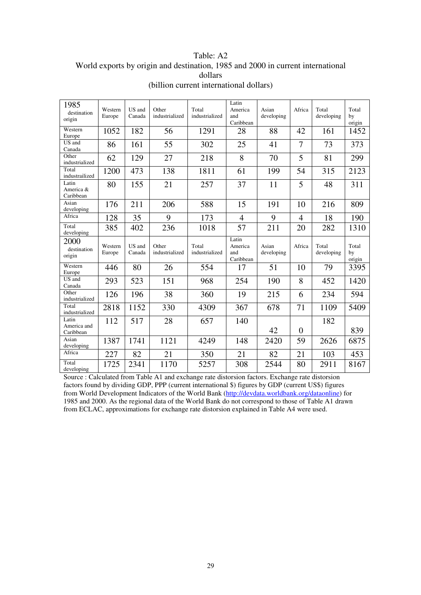## Table: A2 World exports by origin and destination, 1985 and 2000 in current international dollars (billion current international dollars)

| 1985<br>destination<br>origin     | Western<br>Europe | US and<br>Canada | Other<br>industrialized | Total<br>industrialized | Latin<br>America<br>and<br>Caribbean | Asian<br>developing | Africa         | Total<br>developing | Total<br>by<br>origin |
|-----------------------------------|-------------------|------------------|-------------------------|-------------------------|--------------------------------------|---------------------|----------------|---------------------|-----------------------|
| Western<br>Europe                 | 1052              | 182              | 56                      | 1291                    | 28                                   | 88                  | 42             | 161                 | 1452                  |
| US and<br>Canada                  | 86                | 161              | 55                      | 302                     | 25                                   | 41                  | $\overline{7}$ | 73                  | 373                   |
| Other<br>industrialized           | 62                | 129              | 27                      | 218                     | 8                                    | 70                  | 5              | 81                  | 299                   |
| Total<br>industrailized           | 1200              | 473              | 138                     | 1811                    | 61                                   | 199                 | 54             | 315                 | 2123                  |
| Latin<br>America &<br>Caribbean   | 80                | 155              | 21                      | 257                     | 37                                   | 11                  | 5              | 48                  | 311                   |
| Asian<br>developing               | 176               | 211              | 206                     | 588                     | 15                                   | 191                 | 10             | 216                 | 809                   |
| Africa                            | 128               | 35               | 9                       | 173                     | $\overline{4}$                       | 9                   | $\overline{4}$ | 18                  | 190                   |
| Total<br>developing               | 385               | 402              | 236                     | 1018                    | 57                                   | 211                 | 20             | 282                 | 1310                  |
|                                   |                   |                  |                         |                         |                                      |                     |                |                     |                       |
| 2000<br>destination<br>origin     | Western<br>Europe | US and<br>Canada | Other<br>industrialized | Total<br>industrialized | Latin<br>America<br>and<br>Caribbean | Asian<br>developing | Africa         | Total<br>developing | Total<br>by<br>origin |
| Western<br>Europe                 | 446               | 80               | 26                      | 554                     | 17                                   | 51                  | 10             | 79                  | 3395                  |
| US and<br>Canada                  | 293               | 523              | 151                     | 968                     | 254                                  | 190                 | 8              | 452                 | 1420                  |
| Other<br>industrialized           | 126               | 196              | 38                      | 360                     | 19                                   | 215                 | 6              | 234                 | 594                   |
| Total<br>industrialized           | 2818              | 1152             | 330                     | 4309                    | 367                                  | 678                 | 71             | 1109                | 5409                  |
| Latin<br>America and<br>Caribbean | 112               | 517              | 28                      | 657                     | 140                                  | 42                  | $\overline{0}$ | 182                 | 839                   |
| Asian<br>developing               | 1387              | 1741             | 1121                    | 4249                    | 148                                  | 2420                | 59             | 2626                | 6875                  |
| Africa                            | 227               | 82               | 21                      | 350                     | 21                                   | 82                  | 21             | 103                 | 453                   |

Source : Calculated from Table A1 and exchange rate distorsion factors. Exchange rate distorsion factors found by dividing GDP, PPP (current international \$) figures by GDP (current US\$) figures from World Development Indicators of the World Bank (http://devdata.worldbank.org/dataonline) for 1985 and 2000. As the regional data of the World Bank do not correspond to those of Table A1 drawn from ECLAC, approximations for exchange rate distorsion explained in Table A4 were used.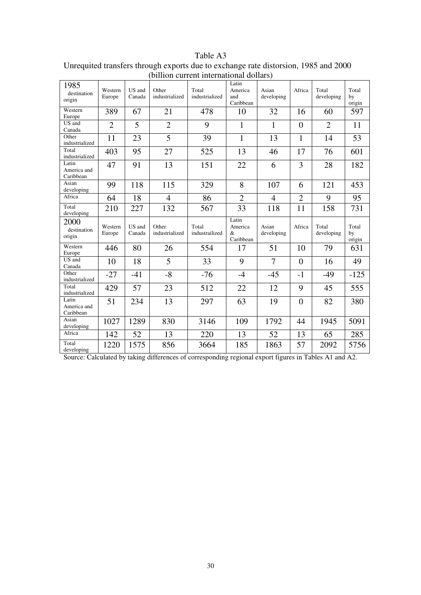| 1985<br>destination<br>origin     | Western<br>Europe | US and<br>Canada | Other<br>industrialized | Total<br>industrialized | Latin<br>America<br>and<br>Caribbean | Asian<br>developing | Africa         | Total<br>developing | Total<br>by<br>origin |
|-----------------------------------|-------------------|------------------|-------------------------|-------------------------|--------------------------------------|---------------------|----------------|---------------------|-----------------------|
| Western<br>Europe                 | 389               | 67               | 21                      | 478                     | 10                                   | 32                  | 16             | 60                  | 597                   |
| US and<br>Canada                  | $\overline{2}$    | 5                | $\overline{2}$          | 9                       | $\mathbf{1}$                         | $\mathbf{1}$        | $\overline{0}$ | $\overline{2}$      | 11                    |
| Other<br>industrialized           | 11                | 23               | $\overline{5}$          | 39                      | $\mathbf{1}$                         | 13                  | 1              | 14                  | 53                    |
| Total<br>industrialized           | 403               | 95               | 27                      | 525                     | 13                                   | 46                  | 17             | 76                  | 601                   |
| Latin<br>America and<br>Caribbean | 47                | 91               | 13                      | 151                     | 22                                   | 6                   | 3              | 28                  | 182                   |
| Asian<br>developing               | 99                | 118              | 115                     | 329                     | 8                                    | 107                 | 6              | 121                 | 453                   |
| Africa                            | 64                | 18               | $\overline{4}$          | 86                      | $\overline{2}$                       | $\overline{4}$      | $\overline{2}$ | 9                   | 95                    |
| Total<br>developing               | 210               | 227              | 132                     | 567                     | 33                                   | 118                 | 11             | 158                 | 731                   |
| 2000                              |                   |                  |                         |                         | Latin                                |                     |                |                     |                       |
| destination<br>origin             | Western<br>Europe | US and<br>Canada | Other<br>industrialized | Total<br>industrailized | America<br>$\&$<br>Caribbean         | Asian<br>developing | Africa         | Total<br>developing | Total<br>by           |
| Western<br>Europe                 | 446               | 80               | 26                      | 554                     | 17                                   | 51                  | 10             | 79                  | origin<br>631         |
| US and<br>Canada                  | 10                | 18               | $\overline{5}$          | 33                      | 9                                    | $\overline{7}$      | $\overline{0}$ | 16                  | 49                    |
| Other<br>industrialized           | $-27$             | $-41$            | $-8$                    | $-76$                   | $-4$                                 | $-45$               | $-1$           | $-49$               | $-125$                |
| Total<br>industrialized           | 429               | 57               | 23                      | 512                     | 22                                   | 12                  | 9              | 45                  | 555                   |
| Latin<br>America and<br>Caribbean | 51                | 234              | 13                      | 297                     | 63                                   | 19                  | $\overline{0}$ | 82                  | 380                   |
| Asian<br>developing               | 1027              | 1289             | 830                     | 3146                    | 109                                  | 1792                | 44             | 1945                | 5091                  |
| Africa                            | 142               | 52               | 13                      | 220                     | 13                                   | 52                  | 13             | 65                  | 285                   |

Table A3 Unrequited transfers through exports due to exchange rate distorsion, 1985 and 2000 (billion current international dollars)

Source: Calculated by taking differences of corresponding regional export figures in Tables A1 and A2.